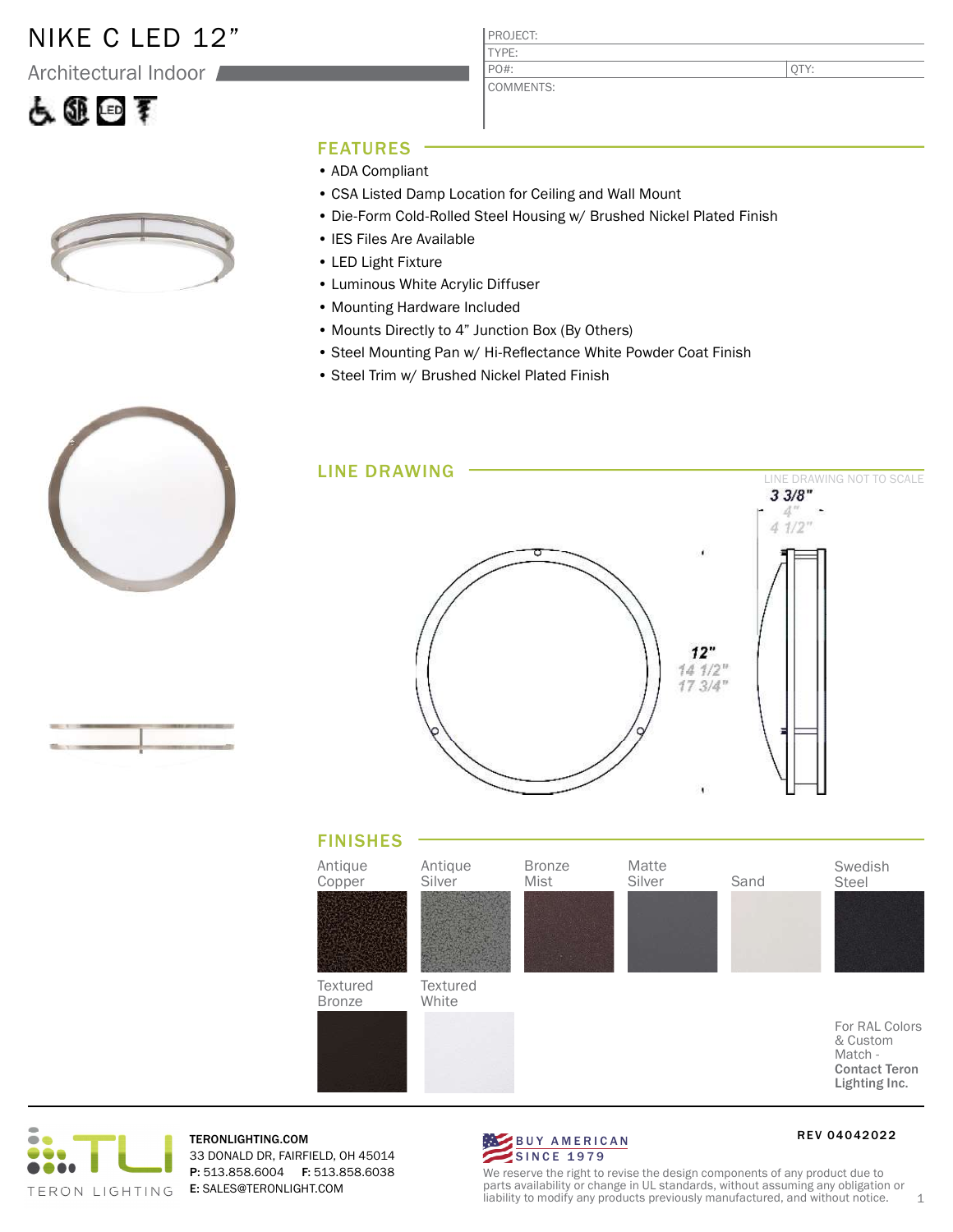### NIKE C LED 12"

Architectural Indoor





QTY:

#### FEATURES

- ADA Compliant
- CSA Listed Damp Location for Ceiling and Wall Mount
- Die-Form Cold-Rolled Steel Housing w/ Brushed Nickel Plated Finish
- IES Files Are Available
- LED Light Fixture
- Luminous White Acrylic Diffuser
- Mounting Hardware Included
- Mounts Directly to 4" Junction Box (By Others)
- Steel Mounting Pan w/ Hi-Reflectance White Powder Coat Finish
- Steel Trim w/ Brushed Nickel Plated Finish









TERONLIGHTING.COM 33 DONALD DR, FAIRFIELD, OH 45014 P: 513.858.6004 F: 513.858.6038 E: SALES@TERONLIGHT.COM



RE V 04042022

We reserve the right to revise the design components of any product due to parts availability or change in UL standards, without assuming any obligation or liability to modify any products previously manufactured, and without notice. 1